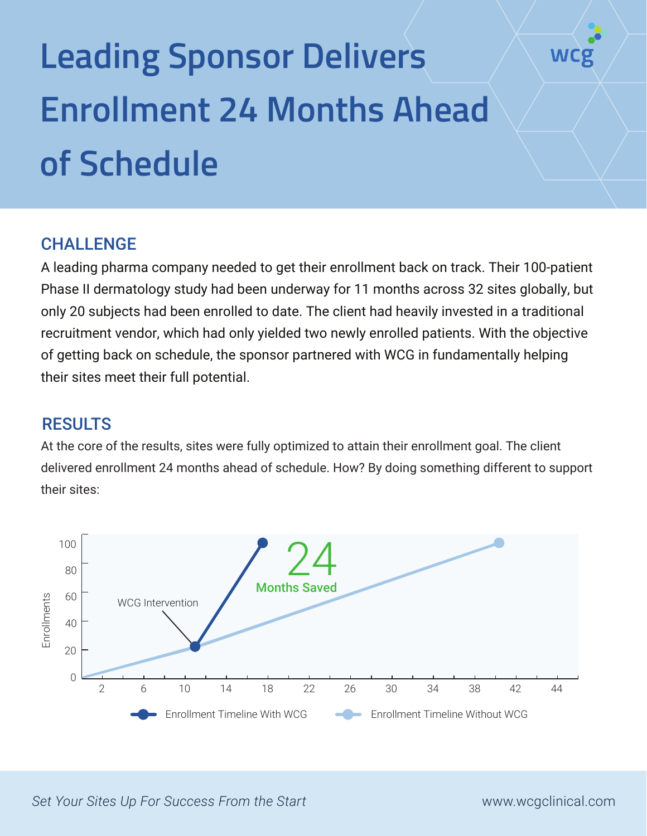## **Leading Sponsor Delivers Enrollment 24 Months Ahead of Schedule**

## **CHALLENGE**

A leading pharma company needed to get their enrollment back on track. Their 100-patient Phase II dermatology study had been underway for 11 months across 32 sites globally, but only 20 subjects had been enrolled to date. The client had heavily invested in a traditional recruitment vendor, which had only yielded two newly enrolled patients. With the objective of getting back on schedule, the sponsor partnered with WCG in fundamentally helping their sites meet their full potential.

## RESULTS

At the core of the results, sites were fully optimized to attain their enrollment goal. The client delivered enrollment 24 months ahead of schedule. How? By doing something different to support their sites:



*Set Your Sites Up For Success From the Start* www.wcgclinical.com

WC